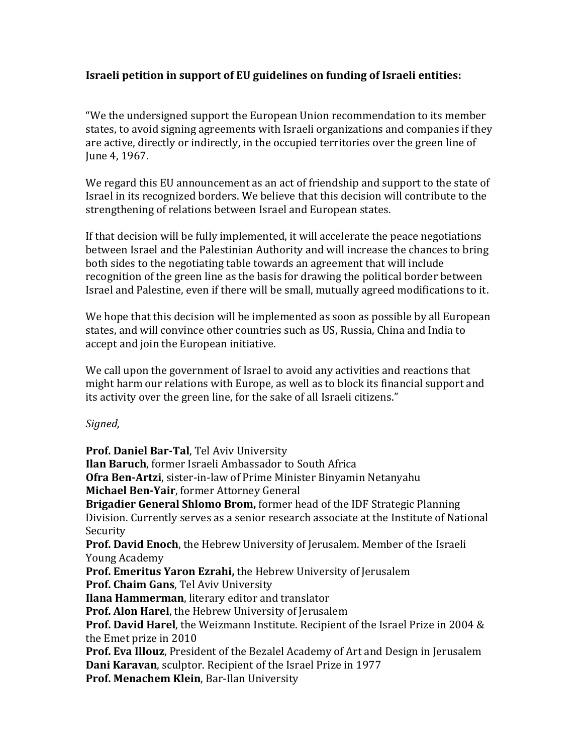## **Israeli petition in support of EU guidelines on funding of Israeli entities:**

"We the undersigned support the European Union recommendation to its member states, to avoid signing agreements with Israeli organizations and companies if they are active, directly or indirectly, in the occupied territories over the green line of June 4, 1967.

We regard this EU announcement as an act of friendship and support to the state of Israel in its recognized borders. We believe that this decision will contribute to the strengthening of relations between Israel and European states.

If that decision will be fully implemented, it will accelerate the peace negotiations between Israel and the Palestinian Authority and will increase the chances to bring both sides to the negotiating table towards an agreement that will include recognition of the green line as the basis for drawing the political border between Israel and Palestine, even if there will be small, mutually agreed modifications to it.

We hope that this decision will be implemented as soon as possible by all European states, and will convince other countries such as US, Russia, China and India to accept and join the European initiative.

We call upon the government of Israel to avoid any activities and reactions that might harm our relations with Europe, as well as to block its financial support and its activity over the green line, for the sake of all Israeli citizens."

## *Signed,*

**Prof. Daniel Bar-Tal**, Tel Aviv University **Ilan Baruch**, former Israeli Ambassador to South Africa **Ofra Ben-Artzi**, sister-in-law of Prime Minister Binyamin Netanyahu **Michael Ben-Yair**, former Attorney General **Brigadier General Shlomo Brom,** former head of the IDF Strategic Planning Division. Currently serves as a senior research associate at the Institute of National Security **Prof. David Enoch**, the Hebrew University of Jerusalem. Member of the Israeli Young Academy **Prof. Emeritus Yaron Ezrahi,** the Hebrew University of Jerusalem **Prof. Chaim Gans**, Tel Aviv University **Ilana Hammerman**, literary editor and translator **Prof. Alon Harel**, the Hebrew University of Jerusalem **Prof. David Harel**, the Weizmann Institute. Recipient of the Israel Prize in 2004 & the Emet prize in 2010 **Prof. Eva Illouz**, President of the Bezalel Academy of Art and Design in Jerusalem **Dani Karavan**, sculptor. Recipient of the Israel Prize in 1977 **Prof. Menachem Klein**, Bar-Ilan University